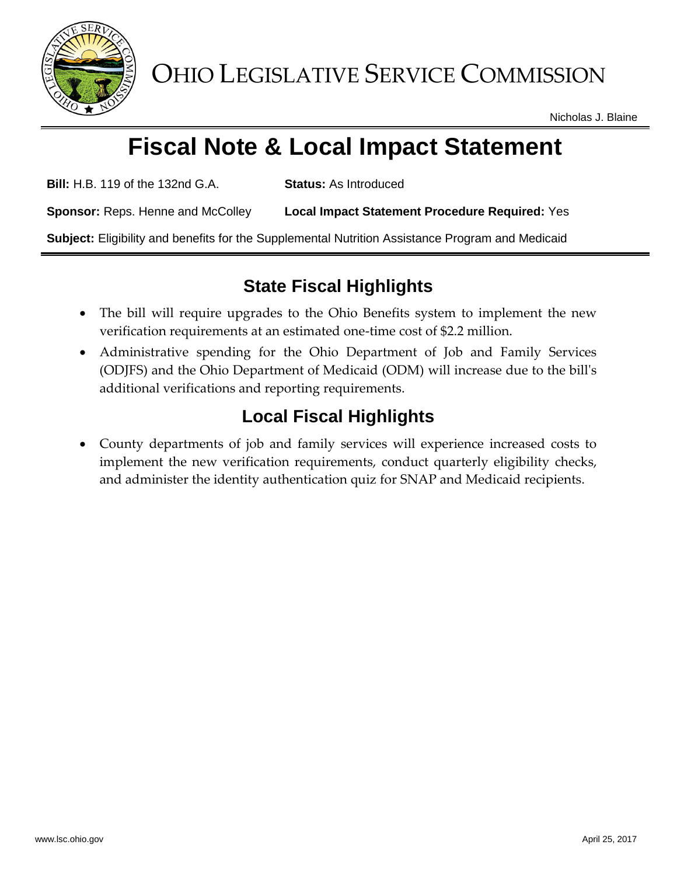

Nicholas J. Blaine

# **Fiscal Note & Local Impact Statement**

**Bill:** H.B. 119 of the 132nd G.A. **Status:** As Introduced

**Sponsor:** Reps. Henne and McColley **Local Impact Statement Procedure Required:** Yes

**Subject:** Eligibility and benefits for the Supplemental Nutrition Assistance Program and Medicaid

## **State Fiscal Highlights**

- The bill will require upgrades to the Ohio Benefits system to implement the new verification requirements at an estimated one-time cost of \$2.2 million.
- Administrative spending for the Ohio Department of Job and Family Services (ODJFS) and the Ohio Department of Medicaid (ODM) will increase due to the bill's additional verifications and reporting requirements.

## **Local Fiscal Highlights**

 County departments of job and family services will experience increased costs to implement the new verification requirements, conduct quarterly eligibility checks, and administer the identity authentication quiz for SNAP and Medicaid recipients.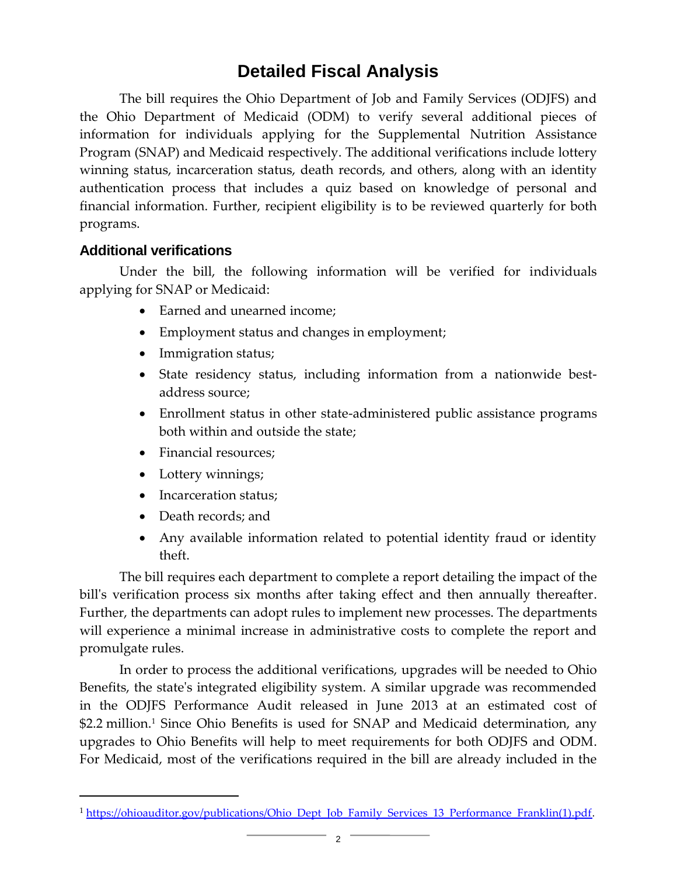### **Detailed Fiscal Analysis**

The bill requires the Ohio Department of Job and Family Services (ODJFS) and the Ohio Department of Medicaid (ODM) to verify several additional pieces of information for individuals applying for the Supplemental Nutrition Assistance Program (SNAP) and Medicaid respectively. The additional verifications include lottery winning status, incarceration status, death records, and others, along with an identity authentication process that includes a quiz based on knowledge of personal and financial information. Further, recipient eligibility is to be reviewed quarterly for both programs.

#### **Additional verifications**

Under the bill, the following information will be verified for individuals applying for SNAP or Medicaid:

- Earned and unearned income;
- Employment status and changes in employment;
- Immigration status;
- State residency status, including information from a nationwide bestaddress source;
- Enrollment status in other state-administered public assistance programs both within and outside the state;
- Financial resources:
- Lottery winnings;
- Incarceration status;
- Death records; and

l

 Any available information related to potential identity fraud or identity theft.

The bill requires each department to complete a report detailing the impact of the bill's verification process six months after taking effect and then annually thereafter. Further, the departments can adopt rules to implement new processes. The departments will experience a minimal increase in administrative costs to complete the report and promulgate rules.

In order to process the additional verifications, upgrades will be needed to Ohio Benefits, the state's integrated eligibility system. A similar upgrade was recommended in the ODJFS Performance Audit released in June 2013 at an estimated cost of \$2.2 million.<sup>1</sup> Since Ohio Benefits is used for SNAP and Medicaid determination, any upgrades to Ohio Benefits will help to meet requirements for both ODJFS and ODM. For Medicaid, most of the verifications required in the bill are already included in the

<sup>&</sup>lt;sup>1</sup> [https://ohioauditor.gov/publications/Ohio\\_Dept\\_Job\\_Family\\_Services\\_13\\_Performance\\_Franklin\(1\).pdf.](https://ohioauditor.gov/publications/Ohio_Dept_Job_Family_Services_13_Performance_Franklin(1).pdf)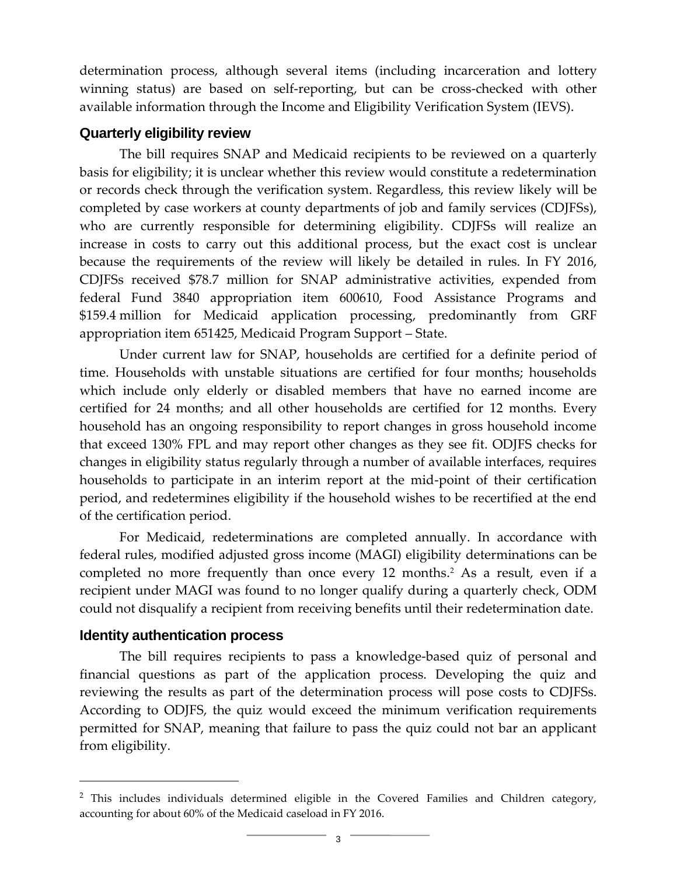determination process, although several items (including incarceration and lottery winning status) are based on self-reporting, but can be cross-checked with other available information through the Income and Eligibility Verification System (IEVS).

#### **Quarterly eligibility review**

The bill requires SNAP and Medicaid recipients to be reviewed on a quarterly basis for eligibility; it is unclear whether this review would constitute a redetermination or records check through the verification system. Regardless, this review likely will be completed by case workers at county departments of job and family services (CDJFSs), who are currently responsible for determining eligibility. CDJFSs will realize an increase in costs to carry out this additional process, but the exact cost is unclear because the requirements of the review will likely be detailed in rules. In FY 2016, CDJFSs received \$78.7 million for SNAP administrative activities, expended from federal Fund 3840 appropriation item 600610, Food Assistance Programs and \$159.4 million for Medicaid application processing, predominantly from GRF appropriation item 651425, Medicaid Program Support – State.

Under current law for SNAP, households are certified for a definite period of time. Households with unstable situations are certified for four months; households which include only elderly or disabled members that have no earned income are certified for 24 months; and all other households are certified for 12 months. Every household has an ongoing responsibility to report changes in gross household income that exceed 130% FPL and may report other changes as they see fit. ODJFS checks for changes in eligibility status regularly through a number of available interfaces, requires households to participate in an interim report at the mid-point of their certification period, and redetermines eligibility if the household wishes to be recertified at the end of the certification period.

For Medicaid, redeterminations are completed annually. In accordance with federal rules, modified adjusted gross income (MAGI) eligibility determinations can be completed no more frequently than once every 12 months. <sup>2</sup> As a result, even if a recipient under MAGI was found to no longer qualify during a quarterly check, ODM could not disqualify a recipient from receiving benefits until their redetermination date.

#### **Identity authentication process**

l

The bill requires recipients to pass a knowledge-based quiz of personal and financial questions as part of the application process. Developing the quiz and reviewing the results as part of the determination process will pose costs to CDJFSs. According to ODJFS, the quiz would exceed the minimum verification requirements permitted for SNAP, meaning that failure to pass the quiz could not bar an applicant from eligibility.

<sup>&</sup>lt;sup>2</sup> This includes individuals determined eligible in the Covered Families and Children category, accounting for about 60% of the Medicaid caseload in FY 2016.